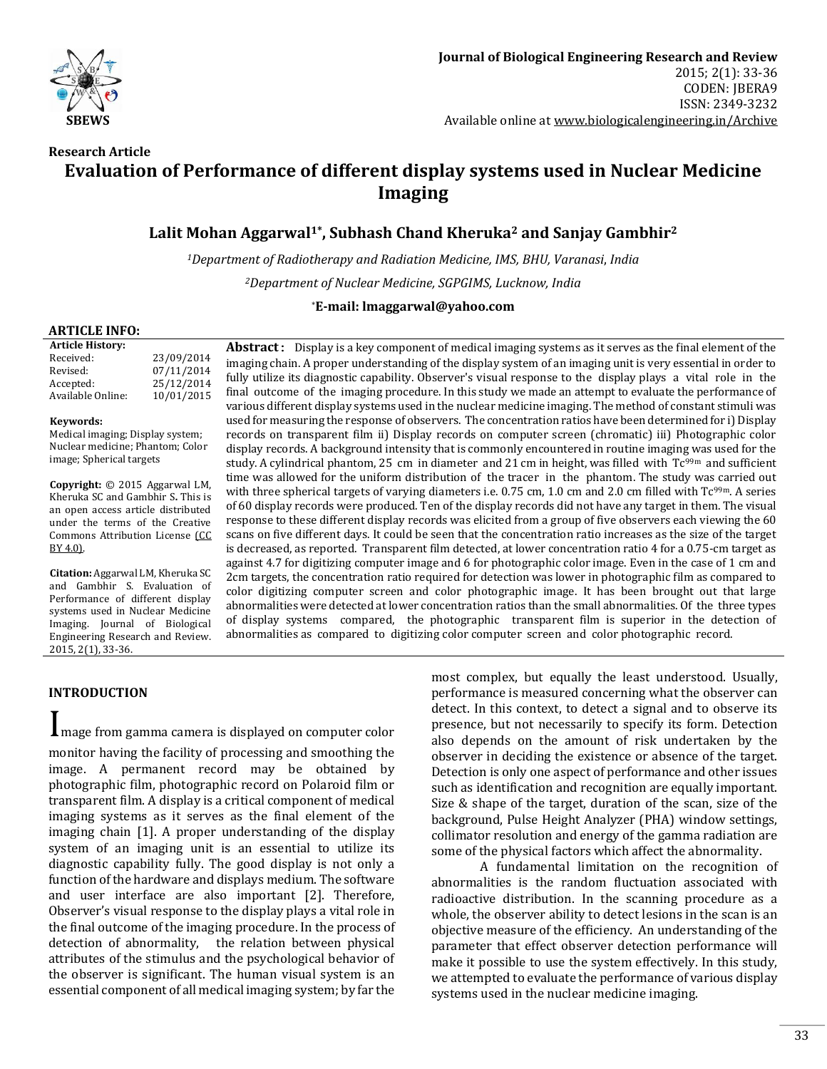

# **Research Article Evaluation of Performance of different display systems used in Nuclear Medicine Imaging**

# **Lalit Mohan Aggarwal1\*, Subhash Chand Kheruka<sup>2</sup> and Sanjay Gambhir<sup>2</sup>**

*<sup>1</sup>Department of Radiotherapy and Radiation Medicine, IMS, BHU, Varanasi*, *India <sup>2</sup>Department of Nuclear Medicine, SGPGIMS, Lucknow, India*

## \***E-mail: lmaggarwal@yahoo.com**

### **ARTICLE INFO:**

| <b>Article History:</b> |            |
|-------------------------|------------|
| Received:               | 23/09/2014 |
| Revised:                | 07/11/2014 |
| Accepted:               | 25/12/2014 |
| Available Online:       | 10/01/2015 |

#### **Keywords:**

Medical imaging; Display system; Nuclear medicine; Phantom; Color image; Spherical targets

**Copyright:** © 2015 Aggarwal LM, Kheruka SC and Gambhir S**.** This is an open access article distributed under the terms of the Creative Commons Attribution License [\(CC](https://creativecommons.org/licenses/by/4.0/)  [BY 4.0\).](https://creativecommons.org/licenses/by/4.0/)

**Citation:** Aggarwal LM, Kheruka SC and Gambhir S. Evaluation of Performance of different display systems used in Nuclear Medicine Imaging. Journal of Biological Engineering Research and Review. 2015, 2(1), 33-36.

**Abstract:** Display is a key component of medical imaging systems as it serves as the final element of the imaging chain. A proper understanding of the display system of an imaging unit is very essential in order to fully utilize its diagnostic capability. Observer's visual response to the display plays a vital role in the final outcome of the imaging procedure. In this study we made an attempt to evaluate the performance of various different display systems used in the nuclear medicine imaging. The method of constant stimuli was used for measuring the response of observers. The concentration ratios have been determined for i) Display records on transparent film ii) Display records on computer screen (chromatic) iii) Photographic color display records. A background intensity that is commonly encountered in routine imaging was used for the study. A cylindrical phantom, 25 cm in diameter and 21 cm in height, was filled with  $Tc^{99m}$  and sufficient time was allowed for the uniform distribution of the tracer in the phantom. The study was carried out with three spherical targets of varying diameters i.e. 0.75 cm, 1.0 cm and 2.0 cm filled with Tc<sup>99m</sup>. A series of 60 display records were produced. Ten of the display records did not have any target in them. The visual response to these different display records was elicited from a group of five observers each viewing the 60 scans on five different days. It could be seen that the concentration ratio increases as the size of the target is decreased, as reported. Transparent film detected, at lower concentration ratio 4 for a 0.75-cm target as against 4.7 for digitizing computer image and 6 for photographic color image. Even in the case of 1 cm and 2cm targets, the concentration ratio required for detection was lower in photographic film as compared to color digitizing computer screen and color photographic image. It has been brought out that large abnormalities were detected at lower concentration ratios than the small abnormalities. Of the three types of display systems compared, the photographic transparent film is superior in the detection of abnormalities as compared to digitizing color computer screen and color photographic record.

## **INTRODUCTION**

Image from gamma camera is displayed on computer color monitor having the facility of processing and smoothing the image. A permanent record may be obtained by photographic film, photographic record on Polaroid film or transparent film. A display is a critical component of medical imaging systems as it serves as the final element of the imaging chain [1]. A proper understanding of the display system of an imaging unit is an essential to utilize its diagnostic capability fully. The good display is not only a function of the hardware and displays medium. The software and user interface are also important [2]. Therefore, Observer's visual response to the display plays a vital role in the final outcome of the imaging procedure. In the process of detection of abnormality, the relation between physical attributes of the stimulus and the psychological behavior of the observer is significant. The human visual system is an essential component of all medical imaging system; by far the

most complex, but equally the least understood. Usually, performance is measured concerning what the observer can detect. In this context, to detect a signal and to observe its presence, but not necessarily to specify its form. Detection also depends on the amount of risk undertaken by the observer in deciding the existence or absence of the target. Detection is only one aspect of performance and other issues such as identification and recognition are equally important. Size & shape of the target, duration of the scan, size of the background, Pulse Height Analyzer (PHA) window settings, collimator resolution and energy of the gamma radiation are some of the physical factors which affect the abnormality.

A fundamental limitation on the recognition of abnormalities is the random fluctuation associated with radioactive distribution. In the scanning procedure as a whole, the observer ability to detect lesions in the scan is an objective measure of the efficiency. An understanding of the parameter that effect observer detection performance will make it possible to use the system effectively. In this study, we attempted to evaluate the performance of various display systems used in the nuclear medicine imaging.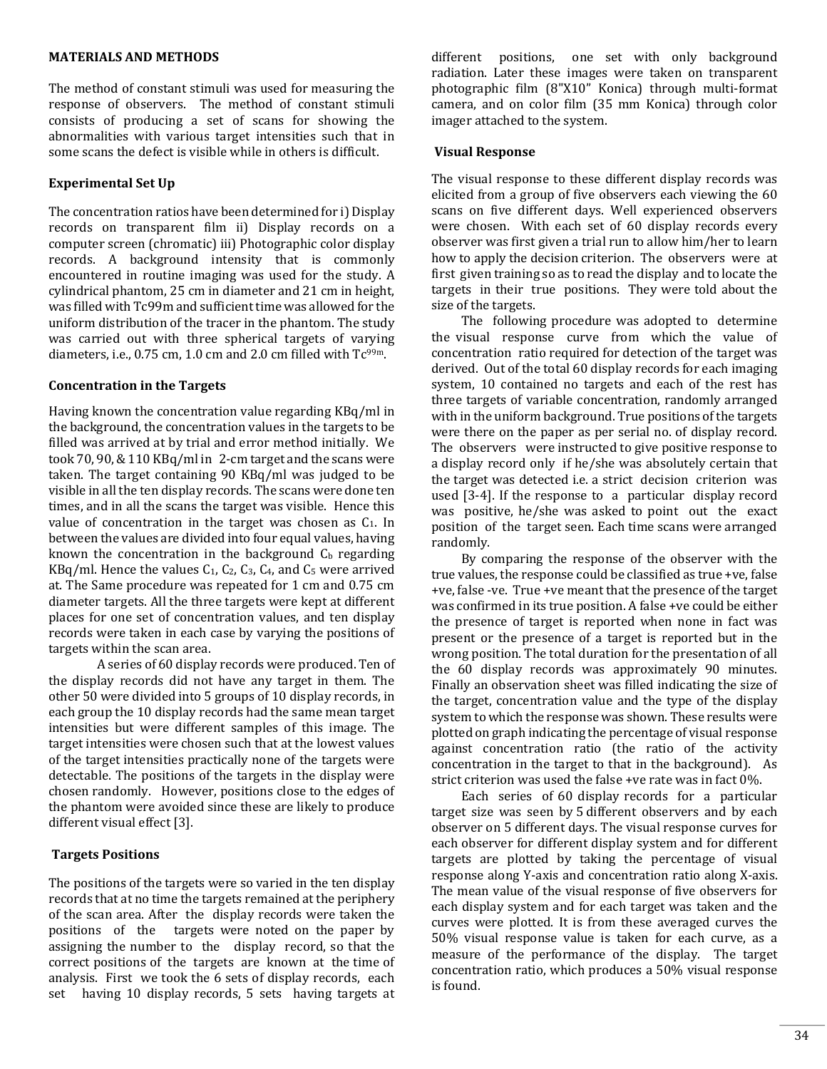### **MATERIALS AND METHODS**

The method of constant stimuli was used for measuring the response of observers. The method of constant stimuli consists of producing a set of scans for showing the abnormalities with various target intensities such that in some scans the defect is visible while in others is difficult.

### **Experimental Set Up**

The concentration ratios have been determined for i) Display records on transparent film ii) Display records on a computer screen (chromatic) iii) Photographic color display records. A background intensity that is commonly encountered in routine imaging was used for the study. A cylindrical phantom, 25 cm in diameter and 21 cm in height, was filled with Tc99m and sufficient time was allowed for the uniform distribution of the tracer in the phantom. The study was carried out with three spherical targets of varying diameters, i.e., 0.75 cm, 1.0 cm and 2.0 cm filled with  $Tc^{99m}$ .

## **Concentration in the Targets**

Having known the concentration value regarding KBq/ml in the background, the concentration values in the targets to be filled was arrived at by trial and error method initially. We took 70, 90, & 110 KBq/ml in 2-cm target and the scans were taken. The target containing 90 KBq/ml was judged to be visible in all the ten display records. The scans were done ten times, and in all the scans the target was visible. Hence this value of concentration in the target was chosen as  $C_1$ . In between the values are divided into four equal values, having known the concentration in the background  $C<sub>b</sub>$  regarding  $KBq/ml$ . Hence the values  $C_1$ ,  $C_2$ ,  $C_3$ ,  $C_4$ , and  $C_5$  were arrived at. The Same procedure was repeated for 1 cm and 0.75 cm diameter targets. All the three targets were kept at different places for one set of concentration values, and ten display records were taken in each case by varying the positions of targets within the scan area.

A series of 60 display records were produced. Ten of the display records did not have any target in them. The other 50 were divided into 5 groups of 10 display records, in each group the 10 display records had the same mean target intensities but were different samples of this image. The target intensities were chosen such that at the lowest values of the target intensities practically none of the targets were detectable. The positions of the targets in the display were chosen randomly. However, positions close to the edges of the phantom were avoided since these are likely to produce different visual effect [3].

### **Targets Positions**

The positions of the targets were so varied in the ten display records that at no time the targets remained at the periphery of the scan area. After the display records were taken the positions of the targets were noted on the paper by assigning the number to the display record, so that the correct positions of the targets are known at the time of analysis. First we took the 6 sets of display records, each set having 10 display records, 5 sets having targets at different positions, one set with only background radiation. Later these images were taken on transparent photographic film (8"X10" Konica) through multi-format camera, and on color film (35 mm Konica) through color imager attached to the system.

#### **Visual Response**

The visual response to these different display records was elicited from a group of five observers each viewing the 60 scans on five different days. Well experienced observers were chosen. With each set of 60 display records every observer was first given a trial run to allow him/her to learn how to apply the decision criterion. The observers were at first given training so as to read the display and to locate the targets in their true positions. They were told about the size of the targets.

 The following procedure was adopted to determine the visual response curve from which the value of concentration ratio required for detection of the target was derived. Out of the total 60 display records for each imaging system, 10 contained no targets and each of the rest has three targets of variable concentration, randomly arranged with in the uniform background. True positions of the targets were there on the paper as per serial no. of display record. The observers were instructed to give positive response to a display record only if he/she was absolutely certain that the target was detected i.e. a strict decision criterion was used [3-4]. If the response to a particular display record was positive, he/she was asked to point out the exact position of the target seen. Each time scans were arranged randomly.

 By comparing the response of the observer with the true values, the response could be classified as true +ve, false +ve, false -ve. True +ve meant that the presence of the target was confirmed in its true position. A false +ve could be either the presence of target is reported when none in fact was present or the presence of a target is reported but in the wrong position. The total duration for the presentation of all the 60 display records was approximately 90 minutes. Finally an observation sheet was filled indicating the size of the target, concentration value and the type of the display system to which the response was shown. These results were plotted on graph indicating the percentage of visual response against concentration ratio (the ratio of the activity concentration in the target to that in the background). As strict criterion was used the false +ve rate was in fact 0%.

 Each series of 60 display records for a particular target size was seen by 5 different observers and by each observer on 5 different days. The visual response curves for each observer for different display system and for different targets are plotted by taking the percentage of visual response along Y-axis and concentration ratio along X-axis. The mean value of the visual response of five observers for each display system and for each target was taken and the curves were plotted. It is from these averaged curves the 50% visual response value is taken for each curve, as a measure of the performance of the display. The target concentration ratio, which produces a 50% visual response is found.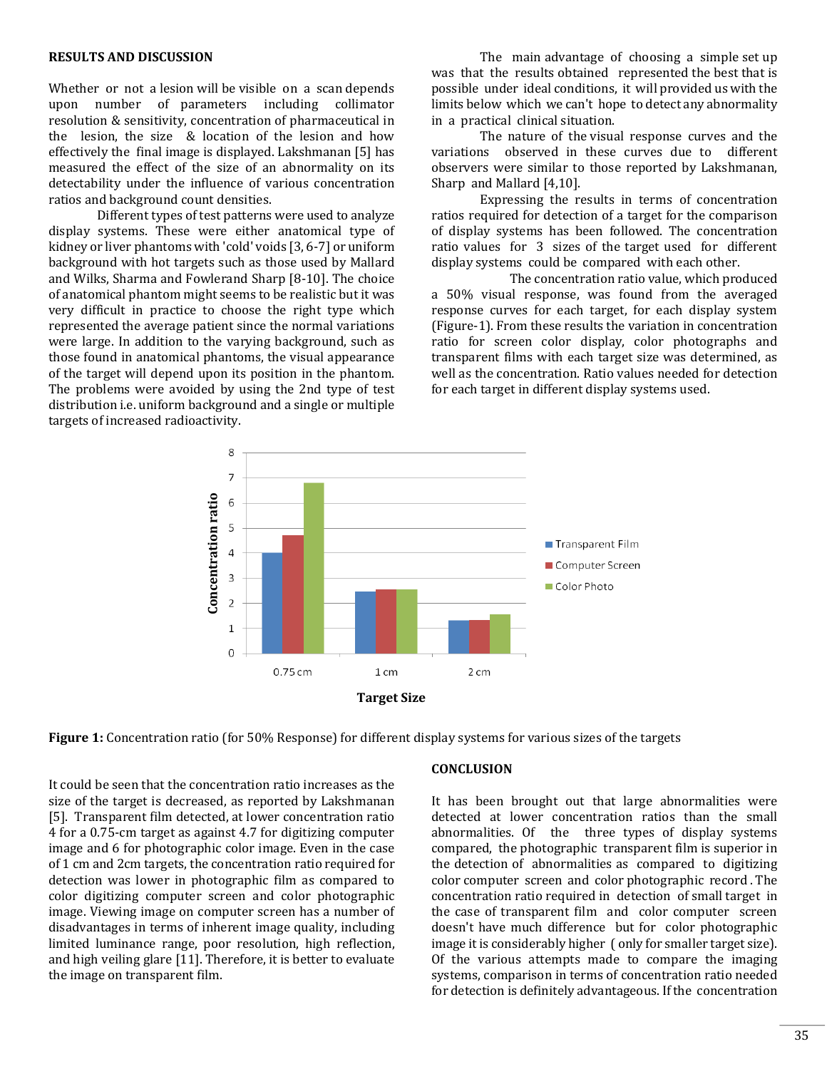#### **RESULTS AND DISCUSSION**

Whether or not a lesion will be visible on a scan depends upon number of parameters including collimator resolution & sensitivity, concentration of pharmaceutical in the lesion, the size & location of the lesion and how effectively the final image is displayed. Lakshmanan [5] has measured the effect of the size of an abnormality on its detectability under the influence of various concentration ratios and background count densities.

Different types of test patterns were used to analyze display systems. These were either anatomical type of kidney or liver phantoms with 'cold' voids [3, 6-7] or uniform background with hot targets such as those used by Mallard and Wilks, Sharma and Fowlerand Sharp [8-10]. The choice of anatomical phantom might seems to be realistic but it was very difficult in practice to choose the right type which represented the average patient since the normal variations were large. In addition to the varying background, such as those found in anatomical phantoms, the visual appearance of the target will depend upon its position in the phantom. The problems were avoided by using the 2nd type of test distribution i.e. uniform background and a single or multiple targets of increased radioactivity.

The main advantage of choosing a simple set up was that the results obtained represented the best that is possible under ideal conditions, it will provided us with the limits below which we can't hope to detect any abnormality in a practical clinical situation.

The nature of the visual response curves and the variations observed in these curves due to different observers were similar to those reported by Lakshmanan, Sharp and Mallard [4,10].

Expressing the results in terms of concentration ratios required for detection of a target for the comparison of display systems has been followed. The concentration ratio values for 3 sizes of the target used for different display systems could be compared with each other.

 The concentration ratio value, which produced a 50% visual response, was found from the averaged response curves for each target, for each display system (Figure-1). From these results the variation in concentration ratio for screen color display, color photographs and transparent films with each target size was determined, as well as the concentration. Ratio values needed for detection for each target in different display systems used.



**Figure 1:** Concentration ratio (for 50% Response) for different display systems for various sizes of the targets

It could be seen that the concentration ratio increases as the size of the target is decreased, as reported by Lakshmanan [5]. Transparent film detected, at lower concentration ratio 4 for a 0.75-cm target as against 4.7 for digitizing computer image and 6 for photographic color image. Even in the case of 1 cm and 2cm targets, the concentration ratio required for detection was lower in photographic film as compared to color digitizing computer screen and color photographic image. Viewing image on computer screen has a number of disadvantages in terms of inherent image quality, including limited luminance range, poor resolution, high reflection, and high veiling glare [11]. Therefore, it is better to evaluate the image on transparent film.

#### **CONCLUSION**

It has been brought out that large abnormalities were detected at lower concentration ratios than the small abnormalities. Of the three types of display systems compared, the photographic transparent film is superior in the detection of abnormalities as compared to digitizing color computer screen and color photographic record . The concentration ratio required in detection of small target in the case of transparent film and color computer screen doesn't have much difference but for color photographic image it is considerably higher ( only for smaller target size). Of the various attempts made to compare the imaging systems, comparison in terms of concentration ratio needed for detection is definitely advantageous. If the concentration